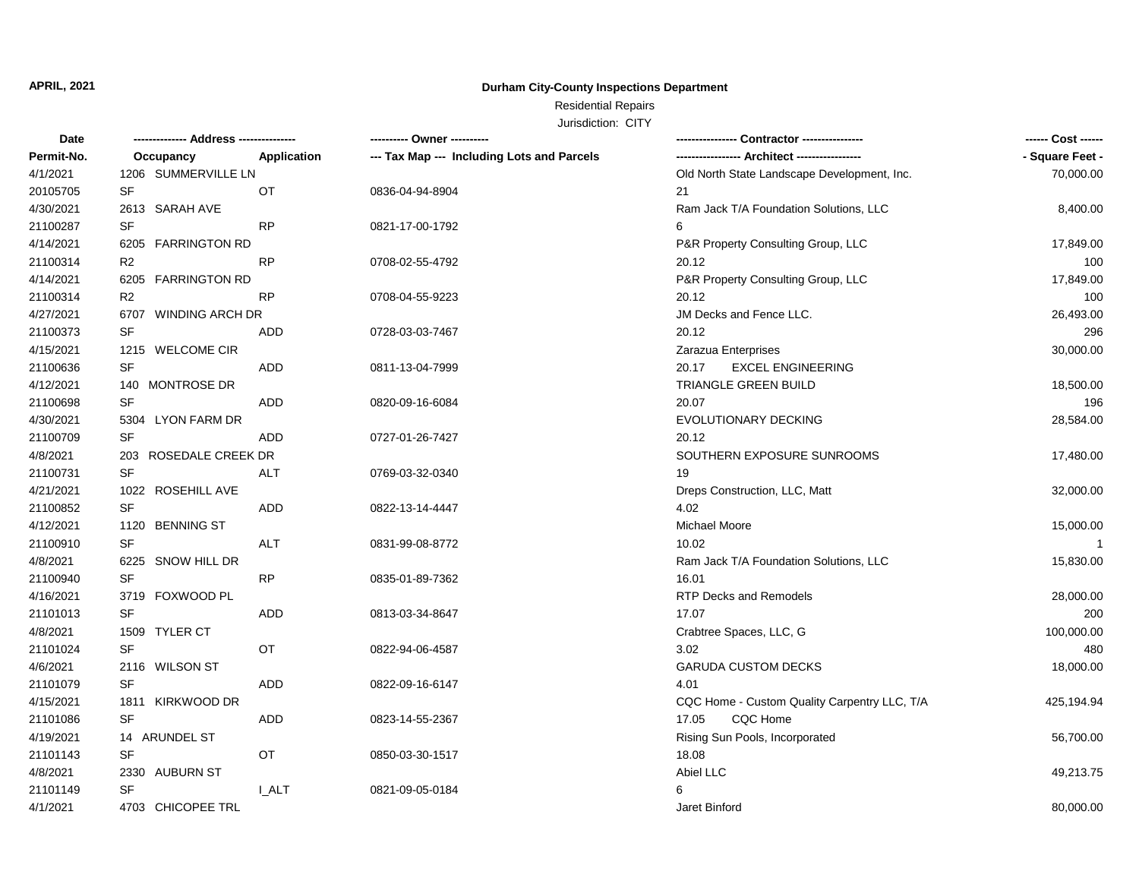# **Durham City-County Inspections Department**

# Residential Repairs

| Date       | -------------- Address --------------- | ---------- Owner ----------                |                                              | ------ Cost ------ |
|------------|----------------------------------------|--------------------------------------------|----------------------------------------------|--------------------|
| Permit-No. | Application<br>Occupancy               | --- Tax Map --- Including Lots and Parcels |                                              | - Square Feet -    |
| 4/1/2021   | 1206 SUMMERVILLE LN                    |                                            | Old North State Landscape Development, Inc.  | 70,000.00          |
| 20105705   | SF<br>OT                               | 0836-04-94-8904                            | 21                                           |                    |
| 4/30/2021  | 2613 SARAH AVE                         |                                            | Ram Jack T/A Foundation Solutions, LLC       | 8,400.00           |
| 21100287   | <b>SF</b><br><b>RP</b>                 | 0821-17-00-1792                            | 6                                            |                    |
| 4/14/2021  | 6205 FARRINGTON RD                     |                                            | P&R Property Consulting Group, LLC           | 17,849.00          |
| 21100314   | R <sub>2</sub><br><b>RP</b>            | 0708-02-55-4792                            | 20.12                                        | 100                |
| 4/14/2021  | 6205 FARRINGTON RD                     |                                            | P&R Property Consulting Group, LLC           | 17,849.00          |
| 21100314   | R <sub>2</sub><br><b>RP</b>            | 0708-04-55-9223                            | 20.12                                        | 100                |
| 4/27/2021  | 6707 WINDING ARCH DR                   |                                            | JM Decks and Fence LLC.                      | 26,493.00          |
| 21100373   | <b>SF</b><br><b>ADD</b>                | 0728-03-03-7467                            | 20.12                                        | 296                |
| 4/15/2021  | 1215 WELCOME CIR                       |                                            | Zarazua Enterprises                          | 30,000.00          |
| 21100636   | SF<br><b>ADD</b>                       | 0811-13-04-7999                            | 20.17<br><b>EXCEL ENGINEERING</b>            |                    |
| 4/12/2021  | 140 MONTROSE DR                        |                                            | TRIANGLE GREEN BUILD                         | 18,500.00          |
| 21100698   | <b>SF</b><br><b>ADD</b>                | 0820-09-16-6084                            | 20.07                                        | 196                |
| 4/30/2021  | 5304 LYON FARM DR                      |                                            | EVOLUTIONARY DECKING                         | 28,584.00          |
| 21100709   | SF<br>ADD                              | 0727-01-26-7427                            | 20.12                                        |                    |
| 4/8/2021   | 203 ROSEDALE CREEK DR                  |                                            | SOUTHERN EXPOSURE SUNROOMS                   | 17,480.00          |
| 21100731   | SF<br>ALT                              | 0769-03-32-0340                            | 19                                           |                    |
| 4/21/2021  | 1022 ROSEHILL AVE                      |                                            | Dreps Construction, LLC, Matt                | 32,000.00          |
| 21100852   | <b>SF</b><br><b>ADD</b>                | 0822-13-14-4447                            | 4.02                                         |                    |
| 4/12/2021  | 1120 BENNING ST                        |                                            | Michael Moore                                | 15,000.00          |
| 21100910   | <b>SF</b><br><b>ALT</b>                | 0831-99-08-8772                            | 10.02                                        | $\mathbf{1}$       |
| 4/8/2021   | 6225 SNOW HILL DR                      |                                            | Ram Jack T/A Foundation Solutions, LLC       | 15,830.00          |
| 21100940   | <b>SF</b><br><b>RP</b>                 | 0835-01-89-7362                            | 16.01                                        |                    |
| 4/16/2021  | 3719 FOXWOOD PL                        |                                            | RTP Decks and Remodels                       | 28,000.00          |
| 21101013   | SF<br>ADD                              | 0813-03-34-8647                            | 17.07                                        | 200                |
| 4/8/2021   | 1509 TYLER CT                          |                                            | Crabtree Spaces, LLC, G                      | 100,000.00         |
| 21101024   | <b>SF</b><br>OT                        | 0822-94-06-4587                            | 3.02                                         | 480                |
| 4/6/2021   | 2116 WILSON ST                         |                                            | <b>GARUDA CUSTOM DECKS</b>                   | 18,000.00          |
| 21101079   | <b>SF</b><br>ADD                       | 0822-09-16-6147                            | 4.01                                         |                    |
| 4/15/2021  | 1811 KIRKWOOD DR                       |                                            | CQC Home - Custom Quality Carpentry LLC, T/A | 425,194.94         |
| 21101086   | SF<br>ADD                              | 0823-14-55-2367                            | CQC Home<br>17.05                            |                    |
| 4/19/2021  | 14 ARUNDEL ST                          |                                            | Rising Sun Pools, Incorporated               | 56,700.00          |
| 21101143   | <b>SF</b><br><b>OT</b>                 | 0850-03-30-1517                            | 18.08                                        |                    |
| 4/8/2021   | 2330 AUBURN ST                         |                                            | Abiel LLC                                    | 49,213.75          |
| 21101149   | SF<br><b>LALT</b>                      | 0821-09-05-0184                            | 6                                            |                    |
| 4/1/2021   | 4703 CHICOPEE TRL                      |                                            | Jaret Binford                                | 80,000.00          |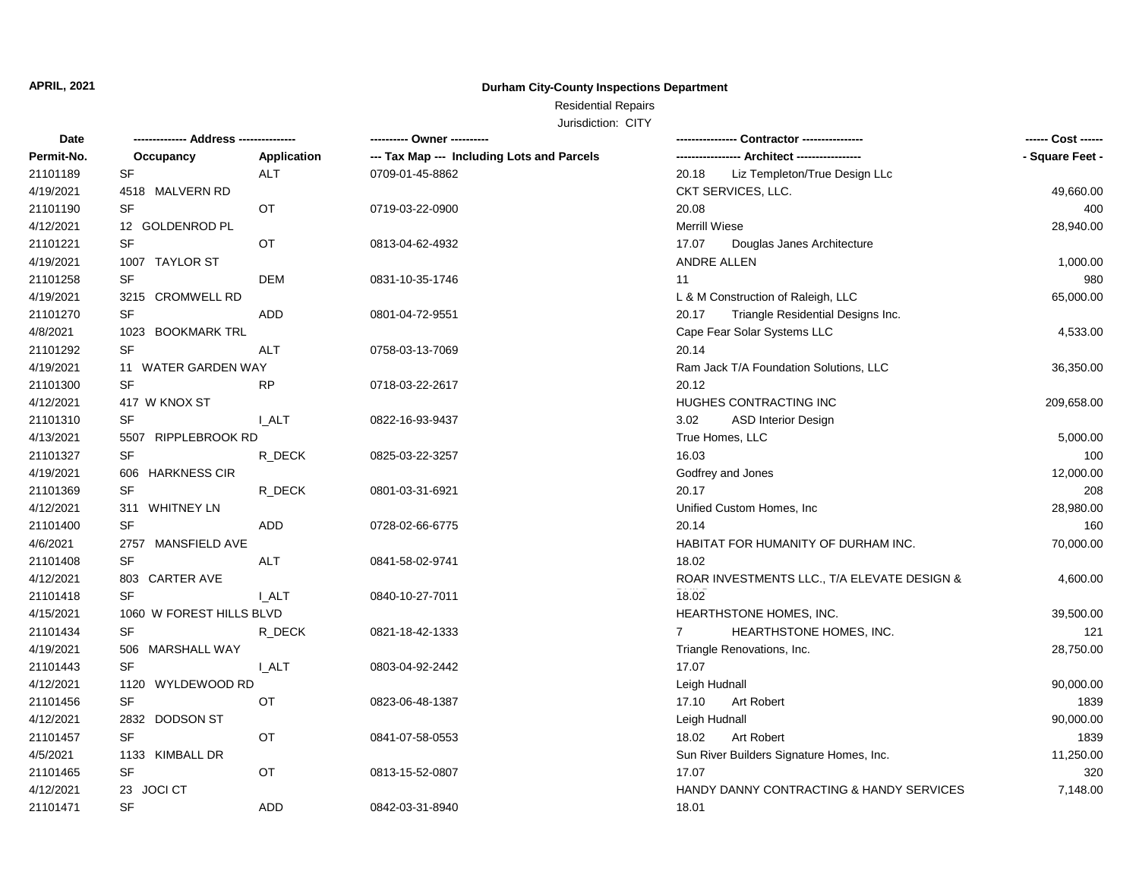# **Durham City-County Inspections Department**

Residential Repairs

| <b>Date</b> | ------------- Address --------------- |              |                                            |                                             | ------ Cost ------ |
|-------------|---------------------------------------|--------------|--------------------------------------------|---------------------------------------------|--------------------|
| Permit-No.  | Occupancy                             | Application  | --- Tax Map --- Including Lots and Parcels | ---- Architect ------------                 | - Square Feet -    |
| 21101189    | <b>SF</b>                             | ALT          | 0709-01-45-8862                            | 20.18<br>Liz Templeton/True Design LLc      |                    |
| 4/19/2021   | 4518 MALVERN RD                       |              |                                            | CKT SERVICES, LLC.                          | 49,660.00          |
| 21101190    | <b>SF</b>                             | OT           | 0719-03-22-0900                            | 20.08                                       | 400                |
| 4/12/2021   | 12 GOLDENROD PL                       |              |                                            | <b>Merrill Wiese</b>                        | 28,940.00          |
| 21101221    | SF                                    | OT           | 0813-04-62-4932                            | 17.07<br>Douglas Janes Architecture         |                    |
| 4/19/2021   | 1007 TAYLOR ST                        |              |                                            | ANDRE ALLEN                                 | 1,000.00           |
| 21101258    | SF                                    | <b>DEM</b>   | 0831-10-35-1746                            | 11                                          | 980                |
| 4/19/2021   | 3215 CROMWELL RD                      |              |                                            | L & M Construction of Raleigh, LLC          | 65,000.00          |
| 21101270    | SF                                    | ADD          | 0801-04-72-9551                            | Triangle Residential Designs Inc.<br>20.17  |                    |
| 4/8/2021    | 1023 BOOKMARK TRL                     |              |                                            | Cape Fear Solar Systems LLC                 | 4,533.00           |
| 21101292    | SF                                    | <b>ALT</b>   | 0758-03-13-7069                            | 20.14                                       |                    |
| 4/19/2021   | 11 WATER GARDEN WAY                   |              |                                            | Ram Jack T/A Foundation Solutions, LLC      | 36,350.00          |
| 21101300    | SF                                    | <b>RP</b>    | 0718-03-22-2617                            | 20.12                                       |                    |
| 4/12/2021   | 417 W KNOX ST                         |              |                                            | HUGHES CONTRACTING INC                      | 209,658.00         |
| 21101310    | SF                                    | <b>LALT</b>  | 0822-16-93-9437                            | 3.02<br><b>ASD Interior Design</b>          |                    |
| 4/13/2021   | 5507 RIPPLEBROOK RD                   |              |                                            | True Homes, LLC                             | 5,000.00           |
| 21101327    | SF                                    | R_DECK       | 0825-03-22-3257                            | 16.03                                       | 100                |
| 4/19/2021   | 606 HARKNESS CIR                      |              |                                            | Godfrey and Jones                           | 12,000.00          |
| 21101369    | SF                                    | R_DECK       | 0801-03-31-6921                            | 20.17                                       | 208                |
| 4/12/2021   | 311 WHITNEY LN                        |              |                                            | Unified Custom Homes, Inc                   | 28,980.00          |
| 21101400    | SF                                    | ADD          | 0728-02-66-6775                            | 20.14                                       | 160                |
| 4/6/2021    | 2757 MANSFIELD AVE                    |              |                                            | HABITAT FOR HUMANITY OF DURHAM INC.         | 70,000.00          |
| 21101408    | <b>SF</b>                             | <b>ALT</b>   | 0841-58-02-9741                            | 18.02                                       |                    |
| 4/12/2021   | 803 CARTER AVE                        |              |                                            | ROAR INVESTMENTS LLC., T/A ELEVATE DESIGN & | 4,600.00           |
| 21101418    | <b>SF</b>                             | I ALT        | 0840-10-27-7011                            | 18.02                                       |                    |
| 4/15/2021   | 1060 W FOREST HILLS BLVD              |              |                                            | HEARTHSTONE HOMES, INC.                     | 39,500.00          |
| 21101434    | <b>SF</b>                             | R DECK       | 0821-18-42-1333                            | $7^{\circ}$<br>HEARTHSTONE HOMES, INC.      | 121                |
| 4/19/2021   | 506 MARSHALL WAY                      |              |                                            | Triangle Renovations, Inc.                  | 28,750.00          |
| 21101443    | SF                                    | <b>I_ALT</b> | 0803-04-92-2442                            | 17.07                                       |                    |
| 4/12/2021   | 1120 WYLDEWOOD RD                     |              |                                            | Leigh Hudnall                               | 90,000.00          |
| 21101456    | <b>SF</b>                             | ОT           | 0823-06-48-1387                            | 17.10<br>Art Robert                         | 1839               |
| 4/12/2021   | 2832 DODSON ST                        |              |                                            | Leigh Hudnall                               | 90,000.00          |
| 21101457    | <b>SF</b>                             | OT           | 0841-07-58-0553                            | Art Robert<br>18.02                         | 1839               |
| 4/5/2021    | 1133 KIMBALL DR                       |              |                                            | Sun River Builders Signature Homes, Inc.    | 11,250.00          |
| 21101465    | <b>SF</b>                             | OT           | 0813-15-52-0807                            | 17.07                                       | 320                |
| 4/12/2021   | 23 JOCI CT                            |              |                                            | HANDY DANNY CONTRACTING & HANDY SERVICES    | 7,148.00           |
| 21101471    | SF                                    | <b>ADD</b>   | 0842-03-31-8940                            | 18.01                                       |                    |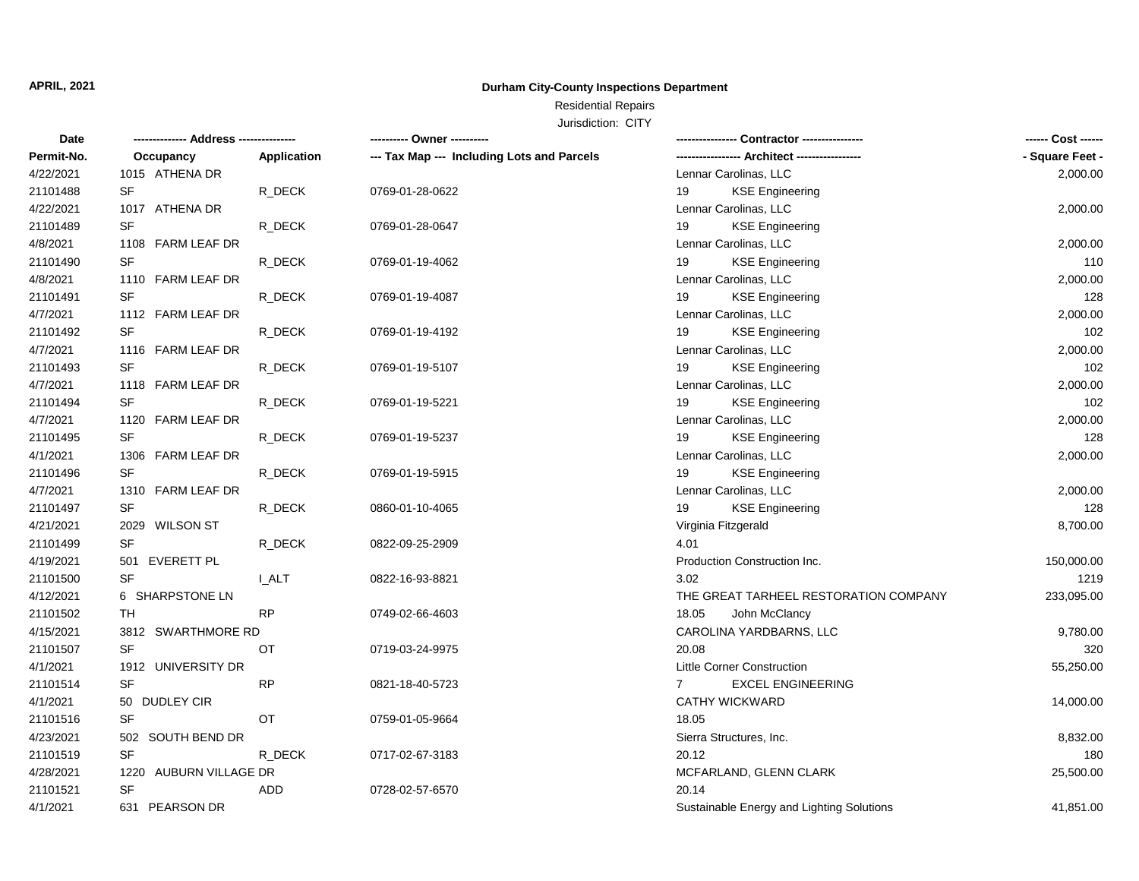# **Durham City-County Inspections Department**

# Residential Repairs

| Date       |                        |             | ---------- Owner ----------                |                                           |                 |
|------------|------------------------|-------------|--------------------------------------------|-------------------------------------------|-----------------|
| Permit-No. | Occupancy              | Application | --- Tax Map --- Including Lots and Parcels |                                           | - Square Feet - |
| 4/22/2021  | 1015 ATHENA DR         |             |                                            | Lennar Carolinas, LLC                     | 2,000.00        |
| 21101488   | SF                     | R_DECK      | 0769-01-28-0622                            | 19<br><b>KSE Engineering</b>              |                 |
| 4/22/2021  | 1017 ATHENA DR         |             |                                            | Lennar Carolinas, LLC                     | 2,000.00        |
| 21101489   | <b>SF</b>              | R_DECK      | 0769-01-28-0647                            | <b>KSE Engineering</b><br>19              |                 |
| 4/8/2021   | 1108 FARM LEAF DR      |             |                                            | Lennar Carolinas, LLC                     | 2,000.00        |
| 21101490   | SF                     | R_DECK      | 0769-01-19-4062                            | <b>KSE Engineering</b><br>19              | 110             |
| 4/8/2021   | 1110 FARM LEAF DR      |             |                                            | Lennar Carolinas, LLC                     | 2,000.00        |
| 21101491   | SF                     | R_DECK      | 0769-01-19-4087                            | 19<br><b>KSE Engineering</b>              | 128             |
| 4/7/2021   | 1112 FARM LEAF DR      |             |                                            | Lennar Carolinas, LLC                     | 2,000.00        |
| 21101492   | SF                     | R DECK      | 0769-01-19-4192                            | <b>KSE Engineering</b><br>19              | 102             |
| 4/7/2021   | 1116 FARM LEAF DR      |             |                                            | Lennar Carolinas, LLC                     | 2,000.00        |
| 21101493   | SF                     | R_DECK      | 0769-01-19-5107                            | 19<br><b>KSE Engineering</b>              | 102             |
| 4/7/2021   | 1118 FARM LEAF DR      |             |                                            | Lennar Carolinas, LLC                     | 2,000.00        |
| 21101494   | SF                     | R DECK      | 0769-01-19-5221                            | 19<br><b>KSE Engineering</b>              | 102             |
| 4/7/2021   | 1120 FARM LEAF DR      |             |                                            | Lennar Carolinas, LLC                     | 2,000.00        |
| 21101495   | SF                     | R_DECK      | 0769-01-19-5237                            | <b>KSE Engineering</b><br>19              | 128             |
| 4/1/2021   | 1306 FARM LEAF DR      |             |                                            | Lennar Carolinas, LLC                     | 2,000.00        |
| 21101496   | SF                     | R_DECK      | 0769-01-19-5915                            | <b>KSE Engineering</b><br>19              |                 |
| 4/7/2021   | 1310 FARM LEAF DR      |             |                                            | Lennar Carolinas, LLC                     | 2,000.00        |
| 21101497   | <b>SF</b>              | R DECK      | 0860-01-10-4065                            | <b>KSE Engineering</b><br>19              | 128             |
| 4/21/2021  | 2029 WILSON ST         |             |                                            | Virginia Fitzgerald                       | 8,700.00        |
| 21101499   | SF                     | R_DECK      | 0822-09-25-2909                            | 4.01                                      |                 |
| 4/19/2021  | 501 EVERETT PL         |             |                                            | Production Construction Inc.              | 150,000.00      |
| 21101500   | <b>SF</b>              | I ALT       | 0822-16-93-8821                            | 3.02                                      | 1219            |
| 4/12/2021  | 6 SHARPSTONE LN        |             |                                            | THE GREAT TARHEEL RESTORATION COMPANY     | 233,095.00      |
| 21101502   | TH                     | <b>RP</b>   | 0749-02-66-4603                            | 18.05<br>John McClancy                    |                 |
| 4/15/2021  | 3812 SWARTHMORE RD     |             |                                            | CAROLINA YARDBARNS, LLC                   | 9,780.00        |
| 21101507   | <b>SF</b>              | OT          | 0719-03-24-9975                            | 20.08                                     | 320             |
| 4/1/2021   | 1912 UNIVERSITY DR     |             |                                            | <b>Little Corner Construction</b>         | 55,250.00       |
| 21101514   | <b>SF</b>              | <b>RP</b>   | 0821-18-40-5723                            | <b>EXCEL ENGINEERING</b><br>$7^{\circ}$   |                 |
| 4/1/2021   | 50 DUDLEY CIR          |             |                                            | <b>CATHY WICKWARD</b>                     | 14,000.00       |
| 21101516   | <b>SF</b>              | OT          | 0759-01-05-9664                            | 18.05                                     |                 |
| 4/23/2021  | 502 SOUTH BEND DR      |             |                                            | Sierra Structures, Inc.                   | 8,832.00        |
| 21101519   | SF                     | R DECK      | 0717-02-67-3183                            | 20.12                                     | 180             |
| 4/28/2021  | 1220 AUBURN VILLAGE DR |             |                                            | MCFARLAND, GLENN CLARK                    | 25,500.00       |
| 21101521   | SF                     | <b>ADD</b>  | 0728-02-57-6570                            | 20.14                                     |                 |
| 4/1/2021   | 631 PEARSON DR         |             |                                            | Sustainable Energy and Lighting Solutions | 41,851.00       |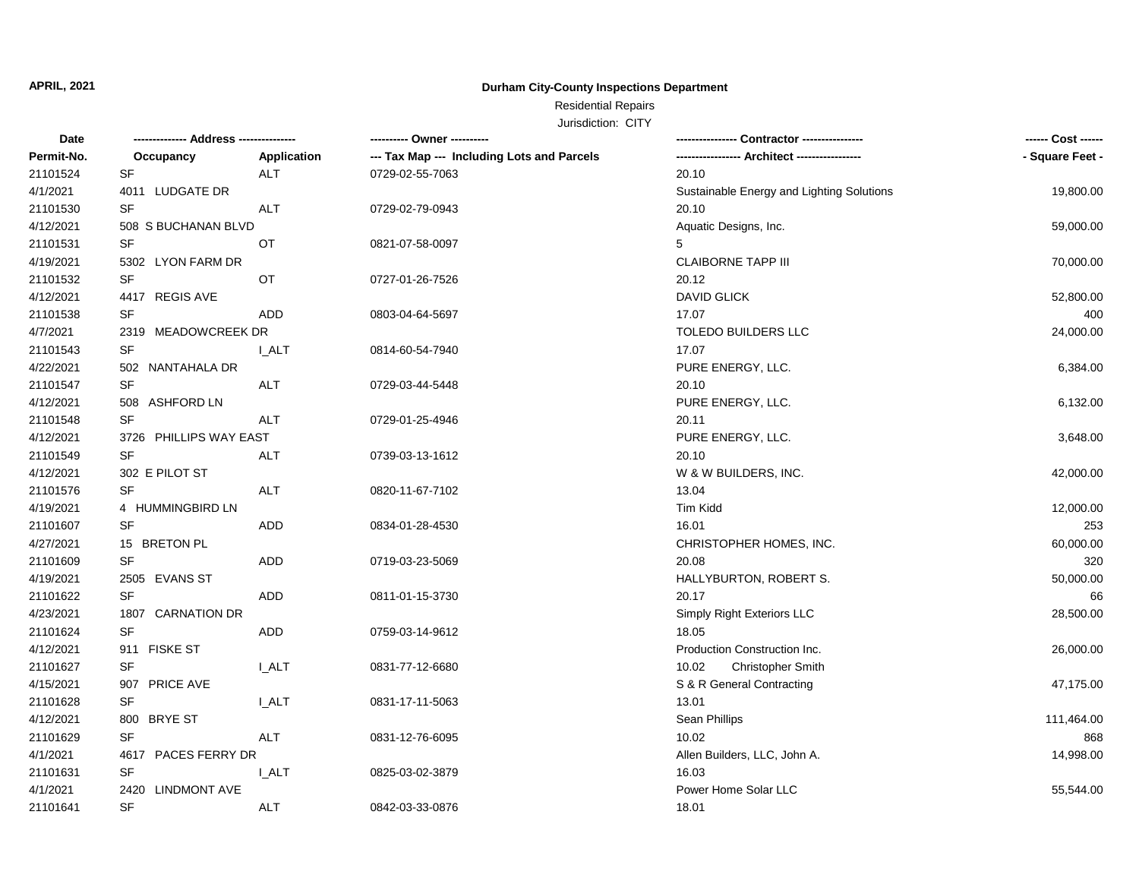# **Durham City-County Inspections Department**

# Residential Repairs

| --- Tax Map --- Including Lots and Parcels<br>- Square Feet -<br>Permit-No.<br>Application<br>Occupancy<br>20.10<br>21101524<br><b>SF</b><br><b>ALT</b><br>0729-02-55-7063<br>4/1/2021<br>4011 LUDGATE DR<br>Sustainable Energy and Lighting Solutions<br>19,800.00<br>SF<br>21101530<br><b>ALT</b><br>20.10<br>0729-02-79-0943<br>4/12/2021<br>508 S BUCHANAN BLVD<br>Aquatic Designs, Inc.<br>59,000.00<br>21101531<br>5<br>SF<br>ОT<br>0821-07-58-0097<br>4/19/2021<br><b>CLAIBORNE TAPP III</b><br>5302 LYON FARM DR<br>70,000.00<br>21101532<br>SF<br>OT<br>0727-01-26-7526<br>20.12<br>4/12/2021<br>4417 REGIS AVE<br>DAVID GLICK<br>52,800.00<br>21101538<br>SF<br>17.07<br>ADD<br>400<br>0803-04-64-5697<br>4/7/2021<br>2319 MEADOWCREEK DR<br>TOLEDO BUILDERS LLC<br>24,000.00<br>21101543<br>SF<br><b>LALT</b><br>17.07<br>0814-60-54-7940<br>PURE ENERGY, LLC.<br>4/22/2021<br>502 NANTAHALA DR<br>6,384.00<br>SF<br>21101547<br><b>ALT</b><br>20.10<br>0729-03-44-5448<br>4/12/2021<br>508 ASHFORD LN<br>PURE ENERGY, LLC.<br>6,132.00<br>SF<br>21101548<br><b>ALT</b><br>20.11<br>0729-01-25-4946<br>PURE ENERGY, LLC.<br>4/12/2021<br>3726 PHILLIPS WAY EAST<br>3,648.00<br>21101549<br><b>SF</b><br>20.10<br><b>ALT</b><br>0739-03-13-1612<br>4/12/2021<br>W & W BUILDERS, INC.<br>302 E PILOT ST<br>42,000.00<br>21101576<br><b>SF</b><br>13.04<br>ALT<br>0820-11-67-7102<br>4/19/2021<br>Tim Kidd<br>4 HUMMINGBIRD LN<br>12,000.00<br>21101607<br>SF<br>16.01<br>ADD<br>0834-01-28-4530<br>253<br>4/27/2021<br>CHRISTOPHER HOMES, INC.<br>60,000.00<br>15 BRETON PL<br>SF<br><b>ADD</b><br>20.08<br>320<br>21101609<br>0719-03-23-5069<br>4/19/2021<br>2505 EVANS ST<br>HALLYBURTON, ROBERT S.<br>50,000.00<br>21101622<br>SF<br>20.17<br>ADD<br>66<br>0811-01-15-3730<br>4/23/2021<br>1807 CARNATION DR<br>Simply Right Exteriors LLC<br>28,500.00<br>SF<br>18.05<br>21101624<br>ADD<br>0759-03-14-9612<br>4/12/2021<br>911 FISKE ST<br>Production Construction Inc.<br>26,000.00<br>21101627<br><b>SF</b><br><b>I_ALT</b><br>0831-77-12-6680<br>10.02<br>Christopher Smith<br>4/15/2021<br>S & R General Contracting<br>907 PRICE AVE<br>47,175.00<br>21101628<br><b>SF</b><br><b>I_ALT</b><br>13.01<br>0831-17-11-5063<br>4/12/2021<br>800 BRYE ST<br>Sean Phillips<br>111,464.00<br>21101629<br><b>SF</b><br><b>ALT</b><br>10.02<br>868<br>0831-12-76-6095<br>4/1/2021<br>4617 PACES FERRY DR<br>Allen Builders, LLC, John A.<br>14,998.00<br><b>SF</b><br>21101631<br><b>I_ALT</b><br>16.03<br>0825-03-02-3879<br>4/1/2021<br>2420 LINDMONT AVE<br>Power Home Solar LLC<br>55,544.00<br>SF<br>18.01<br>0842-03-33-0876 | Date     |            |  | ------ Cost ------ |
|----------------------------------------------------------------------------------------------------------------------------------------------------------------------------------------------------------------------------------------------------------------------------------------------------------------------------------------------------------------------------------------------------------------------------------------------------------------------------------------------------------------------------------------------------------------------------------------------------------------------------------------------------------------------------------------------------------------------------------------------------------------------------------------------------------------------------------------------------------------------------------------------------------------------------------------------------------------------------------------------------------------------------------------------------------------------------------------------------------------------------------------------------------------------------------------------------------------------------------------------------------------------------------------------------------------------------------------------------------------------------------------------------------------------------------------------------------------------------------------------------------------------------------------------------------------------------------------------------------------------------------------------------------------------------------------------------------------------------------------------------------------------------------------------------------------------------------------------------------------------------------------------------------------------------------------------------------------------------------------------------------------------------------------------------------------------------------------------------------------------------------------------------------------------------------------------------------------------------------------------------------------------------------------------------------------------------------------------------------------------------------------------------------------------------------------------------------------------------------------------------------------------------------------------------------------------------------------------------------------------------------------------|----------|------------|--|--------------------|
|                                                                                                                                                                                                                                                                                                                                                                                                                                                                                                                                                                                                                                                                                                                                                                                                                                                                                                                                                                                                                                                                                                                                                                                                                                                                                                                                                                                                                                                                                                                                                                                                                                                                                                                                                                                                                                                                                                                                                                                                                                                                                                                                                                                                                                                                                                                                                                                                                                                                                                                                                                                                                                              |          |            |  |                    |
|                                                                                                                                                                                                                                                                                                                                                                                                                                                                                                                                                                                                                                                                                                                                                                                                                                                                                                                                                                                                                                                                                                                                                                                                                                                                                                                                                                                                                                                                                                                                                                                                                                                                                                                                                                                                                                                                                                                                                                                                                                                                                                                                                                                                                                                                                                                                                                                                                                                                                                                                                                                                                                              |          |            |  |                    |
|                                                                                                                                                                                                                                                                                                                                                                                                                                                                                                                                                                                                                                                                                                                                                                                                                                                                                                                                                                                                                                                                                                                                                                                                                                                                                                                                                                                                                                                                                                                                                                                                                                                                                                                                                                                                                                                                                                                                                                                                                                                                                                                                                                                                                                                                                                                                                                                                                                                                                                                                                                                                                                              |          |            |  |                    |
|                                                                                                                                                                                                                                                                                                                                                                                                                                                                                                                                                                                                                                                                                                                                                                                                                                                                                                                                                                                                                                                                                                                                                                                                                                                                                                                                                                                                                                                                                                                                                                                                                                                                                                                                                                                                                                                                                                                                                                                                                                                                                                                                                                                                                                                                                                                                                                                                                                                                                                                                                                                                                                              |          |            |  |                    |
|                                                                                                                                                                                                                                                                                                                                                                                                                                                                                                                                                                                                                                                                                                                                                                                                                                                                                                                                                                                                                                                                                                                                                                                                                                                                                                                                                                                                                                                                                                                                                                                                                                                                                                                                                                                                                                                                                                                                                                                                                                                                                                                                                                                                                                                                                                                                                                                                                                                                                                                                                                                                                                              |          |            |  |                    |
|                                                                                                                                                                                                                                                                                                                                                                                                                                                                                                                                                                                                                                                                                                                                                                                                                                                                                                                                                                                                                                                                                                                                                                                                                                                                                                                                                                                                                                                                                                                                                                                                                                                                                                                                                                                                                                                                                                                                                                                                                                                                                                                                                                                                                                                                                                                                                                                                                                                                                                                                                                                                                                              |          |            |  |                    |
|                                                                                                                                                                                                                                                                                                                                                                                                                                                                                                                                                                                                                                                                                                                                                                                                                                                                                                                                                                                                                                                                                                                                                                                                                                                                                                                                                                                                                                                                                                                                                                                                                                                                                                                                                                                                                                                                                                                                                                                                                                                                                                                                                                                                                                                                                                                                                                                                                                                                                                                                                                                                                                              |          |            |  |                    |
|                                                                                                                                                                                                                                                                                                                                                                                                                                                                                                                                                                                                                                                                                                                                                                                                                                                                                                                                                                                                                                                                                                                                                                                                                                                                                                                                                                                                                                                                                                                                                                                                                                                                                                                                                                                                                                                                                                                                                                                                                                                                                                                                                                                                                                                                                                                                                                                                                                                                                                                                                                                                                                              |          |            |  |                    |
|                                                                                                                                                                                                                                                                                                                                                                                                                                                                                                                                                                                                                                                                                                                                                                                                                                                                                                                                                                                                                                                                                                                                                                                                                                                                                                                                                                                                                                                                                                                                                                                                                                                                                                                                                                                                                                                                                                                                                                                                                                                                                                                                                                                                                                                                                                                                                                                                                                                                                                                                                                                                                                              |          |            |  |                    |
|                                                                                                                                                                                                                                                                                                                                                                                                                                                                                                                                                                                                                                                                                                                                                                                                                                                                                                                                                                                                                                                                                                                                                                                                                                                                                                                                                                                                                                                                                                                                                                                                                                                                                                                                                                                                                                                                                                                                                                                                                                                                                                                                                                                                                                                                                                                                                                                                                                                                                                                                                                                                                                              |          |            |  |                    |
|                                                                                                                                                                                                                                                                                                                                                                                                                                                                                                                                                                                                                                                                                                                                                                                                                                                                                                                                                                                                                                                                                                                                                                                                                                                                                                                                                                                                                                                                                                                                                                                                                                                                                                                                                                                                                                                                                                                                                                                                                                                                                                                                                                                                                                                                                                                                                                                                                                                                                                                                                                                                                                              |          |            |  |                    |
|                                                                                                                                                                                                                                                                                                                                                                                                                                                                                                                                                                                                                                                                                                                                                                                                                                                                                                                                                                                                                                                                                                                                                                                                                                                                                                                                                                                                                                                                                                                                                                                                                                                                                                                                                                                                                                                                                                                                                                                                                                                                                                                                                                                                                                                                                                                                                                                                                                                                                                                                                                                                                                              |          |            |  |                    |
|                                                                                                                                                                                                                                                                                                                                                                                                                                                                                                                                                                                                                                                                                                                                                                                                                                                                                                                                                                                                                                                                                                                                                                                                                                                                                                                                                                                                                                                                                                                                                                                                                                                                                                                                                                                                                                                                                                                                                                                                                                                                                                                                                                                                                                                                                                                                                                                                                                                                                                                                                                                                                                              |          |            |  |                    |
|                                                                                                                                                                                                                                                                                                                                                                                                                                                                                                                                                                                                                                                                                                                                                                                                                                                                                                                                                                                                                                                                                                                                                                                                                                                                                                                                                                                                                                                                                                                                                                                                                                                                                                                                                                                                                                                                                                                                                                                                                                                                                                                                                                                                                                                                                                                                                                                                                                                                                                                                                                                                                                              |          |            |  |                    |
|                                                                                                                                                                                                                                                                                                                                                                                                                                                                                                                                                                                                                                                                                                                                                                                                                                                                                                                                                                                                                                                                                                                                                                                                                                                                                                                                                                                                                                                                                                                                                                                                                                                                                                                                                                                                                                                                                                                                                                                                                                                                                                                                                                                                                                                                                                                                                                                                                                                                                                                                                                                                                                              |          |            |  |                    |
|                                                                                                                                                                                                                                                                                                                                                                                                                                                                                                                                                                                                                                                                                                                                                                                                                                                                                                                                                                                                                                                                                                                                                                                                                                                                                                                                                                                                                                                                                                                                                                                                                                                                                                                                                                                                                                                                                                                                                                                                                                                                                                                                                                                                                                                                                                                                                                                                                                                                                                                                                                                                                                              |          |            |  |                    |
|                                                                                                                                                                                                                                                                                                                                                                                                                                                                                                                                                                                                                                                                                                                                                                                                                                                                                                                                                                                                                                                                                                                                                                                                                                                                                                                                                                                                                                                                                                                                                                                                                                                                                                                                                                                                                                                                                                                                                                                                                                                                                                                                                                                                                                                                                                                                                                                                                                                                                                                                                                                                                                              |          |            |  |                    |
|                                                                                                                                                                                                                                                                                                                                                                                                                                                                                                                                                                                                                                                                                                                                                                                                                                                                                                                                                                                                                                                                                                                                                                                                                                                                                                                                                                                                                                                                                                                                                                                                                                                                                                                                                                                                                                                                                                                                                                                                                                                                                                                                                                                                                                                                                                                                                                                                                                                                                                                                                                                                                                              |          |            |  |                    |
|                                                                                                                                                                                                                                                                                                                                                                                                                                                                                                                                                                                                                                                                                                                                                                                                                                                                                                                                                                                                                                                                                                                                                                                                                                                                                                                                                                                                                                                                                                                                                                                                                                                                                                                                                                                                                                                                                                                                                                                                                                                                                                                                                                                                                                                                                                                                                                                                                                                                                                                                                                                                                                              |          |            |  |                    |
|                                                                                                                                                                                                                                                                                                                                                                                                                                                                                                                                                                                                                                                                                                                                                                                                                                                                                                                                                                                                                                                                                                                                                                                                                                                                                                                                                                                                                                                                                                                                                                                                                                                                                                                                                                                                                                                                                                                                                                                                                                                                                                                                                                                                                                                                                                                                                                                                                                                                                                                                                                                                                                              |          |            |  |                    |
|                                                                                                                                                                                                                                                                                                                                                                                                                                                                                                                                                                                                                                                                                                                                                                                                                                                                                                                                                                                                                                                                                                                                                                                                                                                                                                                                                                                                                                                                                                                                                                                                                                                                                                                                                                                                                                                                                                                                                                                                                                                                                                                                                                                                                                                                                                                                                                                                                                                                                                                                                                                                                                              |          |            |  |                    |
|                                                                                                                                                                                                                                                                                                                                                                                                                                                                                                                                                                                                                                                                                                                                                                                                                                                                                                                                                                                                                                                                                                                                                                                                                                                                                                                                                                                                                                                                                                                                                                                                                                                                                                                                                                                                                                                                                                                                                                                                                                                                                                                                                                                                                                                                                                                                                                                                                                                                                                                                                                                                                                              |          |            |  |                    |
|                                                                                                                                                                                                                                                                                                                                                                                                                                                                                                                                                                                                                                                                                                                                                                                                                                                                                                                                                                                                                                                                                                                                                                                                                                                                                                                                                                                                                                                                                                                                                                                                                                                                                                                                                                                                                                                                                                                                                                                                                                                                                                                                                                                                                                                                                                                                                                                                                                                                                                                                                                                                                                              |          |            |  |                    |
|                                                                                                                                                                                                                                                                                                                                                                                                                                                                                                                                                                                                                                                                                                                                                                                                                                                                                                                                                                                                                                                                                                                                                                                                                                                                                                                                                                                                                                                                                                                                                                                                                                                                                                                                                                                                                                                                                                                                                                                                                                                                                                                                                                                                                                                                                                                                                                                                                                                                                                                                                                                                                                              |          |            |  |                    |
|                                                                                                                                                                                                                                                                                                                                                                                                                                                                                                                                                                                                                                                                                                                                                                                                                                                                                                                                                                                                                                                                                                                                                                                                                                                                                                                                                                                                                                                                                                                                                                                                                                                                                                                                                                                                                                                                                                                                                                                                                                                                                                                                                                                                                                                                                                                                                                                                                                                                                                                                                                                                                                              |          |            |  |                    |
|                                                                                                                                                                                                                                                                                                                                                                                                                                                                                                                                                                                                                                                                                                                                                                                                                                                                                                                                                                                                                                                                                                                                                                                                                                                                                                                                                                                                                                                                                                                                                                                                                                                                                                                                                                                                                                                                                                                                                                                                                                                                                                                                                                                                                                                                                                                                                                                                                                                                                                                                                                                                                                              |          |            |  |                    |
|                                                                                                                                                                                                                                                                                                                                                                                                                                                                                                                                                                                                                                                                                                                                                                                                                                                                                                                                                                                                                                                                                                                                                                                                                                                                                                                                                                                                                                                                                                                                                                                                                                                                                                                                                                                                                                                                                                                                                                                                                                                                                                                                                                                                                                                                                                                                                                                                                                                                                                                                                                                                                                              |          |            |  |                    |
|                                                                                                                                                                                                                                                                                                                                                                                                                                                                                                                                                                                                                                                                                                                                                                                                                                                                                                                                                                                                                                                                                                                                                                                                                                                                                                                                                                                                                                                                                                                                                                                                                                                                                                                                                                                                                                                                                                                                                                                                                                                                                                                                                                                                                                                                                                                                                                                                                                                                                                                                                                                                                                              |          |            |  |                    |
|                                                                                                                                                                                                                                                                                                                                                                                                                                                                                                                                                                                                                                                                                                                                                                                                                                                                                                                                                                                                                                                                                                                                                                                                                                                                                                                                                                                                                                                                                                                                                                                                                                                                                                                                                                                                                                                                                                                                                                                                                                                                                                                                                                                                                                                                                                                                                                                                                                                                                                                                                                                                                                              |          |            |  |                    |
|                                                                                                                                                                                                                                                                                                                                                                                                                                                                                                                                                                                                                                                                                                                                                                                                                                                                                                                                                                                                                                                                                                                                                                                                                                                                                                                                                                                                                                                                                                                                                                                                                                                                                                                                                                                                                                                                                                                                                                                                                                                                                                                                                                                                                                                                                                                                                                                                                                                                                                                                                                                                                                              |          |            |  |                    |
|                                                                                                                                                                                                                                                                                                                                                                                                                                                                                                                                                                                                                                                                                                                                                                                                                                                                                                                                                                                                                                                                                                                                                                                                                                                                                                                                                                                                                                                                                                                                                                                                                                                                                                                                                                                                                                                                                                                                                                                                                                                                                                                                                                                                                                                                                                                                                                                                                                                                                                                                                                                                                                              |          |            |  |                    |
|                                                                                                                                                                                                                                                                                                                                                                                                                                                                                                                                                                                                                                                                                                                                                                                                                                                                                                                                                                                                                                                                                                                                                                                                                                                                                                                                                                                                                                                                                                                                                                                                                                                                                                                                                                                                                                                                                                                                                                                                                                                                                                                                                                                                                                                                                                                                                                                                                                                                                                                                                                                                                                              |          |            |  |                    |
|                                                                                                                                                                                                                                                                                                                                                                                                                                                                                                                                                                                                                                                                                                                                                                                                                                                                                                                                                                                                                                                                                                                                                                                                                                                                                                                                                                                                                                                                                                                                                                                                                                                                                                                                                                                                                                                                                                                                                                                                                                                                                                                                                                                                                                                                                                                                                                                                                                                                                                                                                                                                                                              |          |            |  |                    |
|                                                                                                                                                                                                                                                                                                                                                                                                                                                                                                                                                                                                                                                                                                                                                                                                                                                                                                                                                                                                                                                                                                                                                                                                                                                                                                                                                                                                                                                                                                                                                                                                                                                                                                                                                                                                                                                                                                                                                                                                                                                                                                                                                                                                                                                                                                                                                                                                                                                                                                                                                                                                                                              |          |            |  |                    |
|                                                                                                                                                                                                                                                                                                                                                                                                                                                                                                                                                                                                                                                                                                                                                                                                                                                                                                                                                                                                                                                                                                                                                                                                                                                                                                                                                                                                                                                                                                                                                                                                                                                                                                                                                                                                                                                                                                                                                                                                                                                                                                                                                                                                                                                                                                                                                                                                                                                                                                                                                                                                                                              |          |            |  |                    |
|                                                                                                                                                                                                                                                                                                                                                                                                                                                                                                                                                                                                                                                                                                                                                                                                                                                                                                                                                                                                                                                                                                                                                                                                                                                                                                                                                                                                                                                                                                                                                                                                                                                                                                                                                                                                                                                                                                                                                                                                                                                                                                                                                                                                                                                                                                                                                                                                                                                                                                                                                                                                                                              |          |            |  |                    |
|                                                                                                                                                                                                                                                                                                                                                                                                                                                                                                                                                                                                                                                                                                                                                                                                                                                                                                                                                                                                                                                                                                                                                                                                                                                                                                                                                                                                                                                                                                                                                                                                                                                                                                                                                                                                                                                                                                                                                                                                                                                                                                                                                                                                                                                                                                                                                                                                                                                                                                                                                                                                                                              |          |            |  |                    |
|                                                                                                                                                                                                                                                                                                                                                                                                                                                                                                                                                                                                                                                                                                                                                                                                                                                                                                                                                                                                                                                                                                                                                                                                                                                                                                                                                                                                                                                                                                                                                                                                                                                                                                                                                                                                                                                                                                                                                                                                                                                                                                                                                                                                                                                                                                                                                                                                                                                                                                                                                                                                                                              | 21101641 | <b>ALT</b> |  |                    |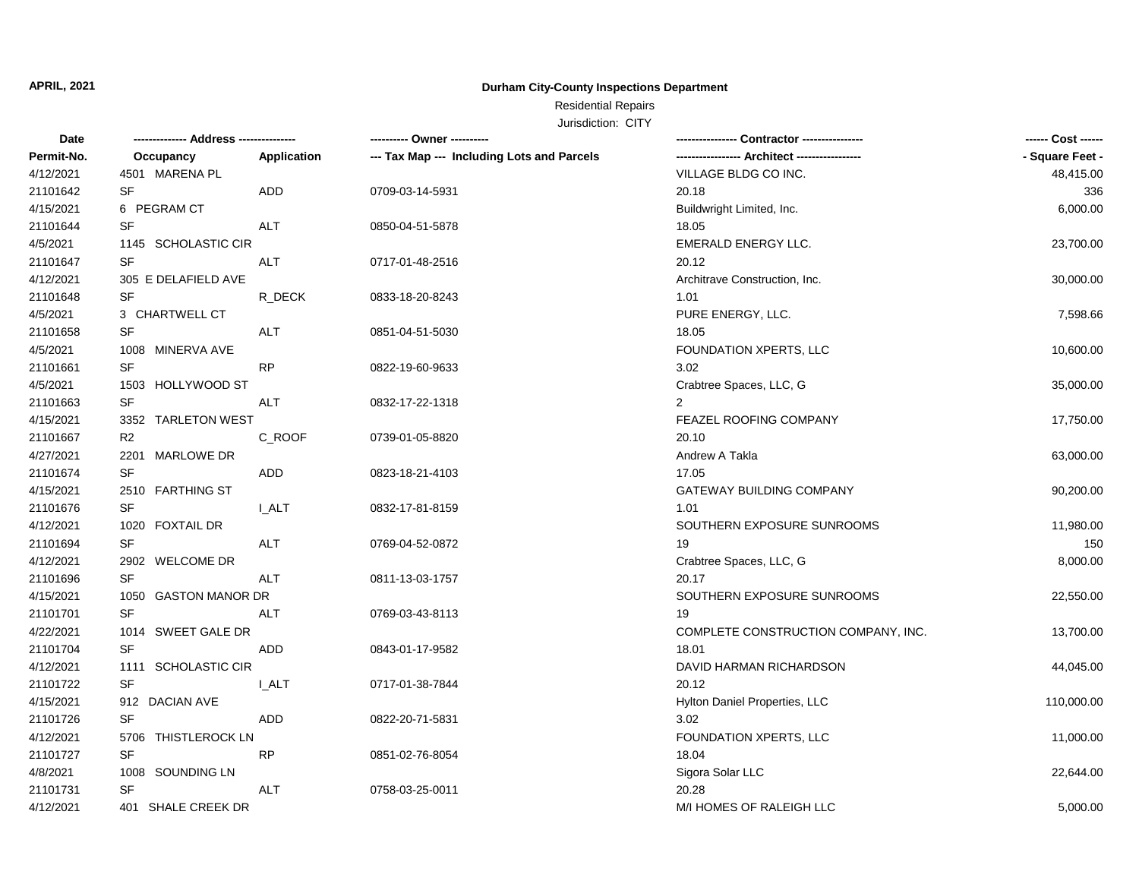# **Durham City-County Inspections Department**

# Residential Repairs

| Date       |                      |             | ---------- Owner ----------                |                                     | ------ Cost ------ |
|------------|----------------------|-------------|--------------------------------------------|-------------------------------------|--------------------|
| Permit-No. | Occupancy            | Application | --- Tax Map --- Including Lots and Parcels |                                     | - Square Feet -    |
| 4/12/2021  | 4501 MARENA PL       |             |                                            | VILLAGE BLDG CO INC.                | 48,415.00          |
| 21101642   | SF                   | ADD         | 0709-03-14-5931                            | 20.18                               | 336                |
| 4/15/2021  | 6 PEGRAM CT          |             |                                            | Buildwright Limited, Inc.           | 6,000.00           |
| 21101644   | SF                   | <b>ALT</b>  | 0850-04-51-5878                            | 18.05                               |                    |
| 4/5/2021   | 1145 SCHOLASTIC CIR  |             |                                            | <b>EMERALD ENERGY LLC.</b>          | 23,700.00          |
| 21101647   | SF                   | ALT         | 0717-01-48-2516                            | 20.12                               |                    |
| 4/12/2021  | 305 E DELAFIELD AVE  |             |                                            | Architrave Construction, Inc.       | 30,000.00          |
| 21101648   | SF                   | R_DECK      | 0833-18-20-8243                            | 1.01                                |                    |
| 4/5/2021   | 3 CHARTWELL CT       |             |                                            | PURE ENERGY, LLC.                   | 7,598.66           |
| 21101658   | SF                   | <b>ALT</b>  | 0851-04-51-5030                            | 18.05                               |                    |
| 4/5/2021   | 1008 MINERVA AVE     |             |                                            | FOUNDATION XPERTS, LLC              | 10,600.00          |
| 21101661   | SF                   | <b>RP</b>   | 0822-19-60-9633                            | 3.02                                |                    |
| 4/5/2021   | 1503 HOLLYWOOD ST    |             |                                            | Crabtree Spaces, LLC, G             | 35,000.00          |
| 21101663   | <b>SF</b>            | <b>ALT</b>  | 0832-17-22-1318                            | $\overline{2}$                      |                    |
| 4/15/2021  | 3352 TARLETON WEST   |             |                                            | FEAZEL ROOFING COMPANY              | 17,750.00          |
| 21101667   | R2                   | C_ROOF      | 0739-01-05-8820                            | 20.10                               |                    |
| 4/27/2021  | MARLOWE DR<br>2201   |             |                                            | Andrew A Takla                      | 63,000.00          |
| 21101674   | SF                   | ADD         | 0823-18-21-4103                            | 17.05                               |                    |
| 4/15/2021  | 2510 FARTHING ST     |             |                                            | <b>GATEWAY BUILDING COMPANY</b>     | 90,200.00          |
| 21101676   | <b>SF</b>            | I ALT       | 0832-17-81-8159                            | 1.01                                |                    |
| 4/12/2021  | 1020 FOXTAIL DR      |             |                                            | SOUTHERN EXPOSURE SUNROOMS          | 11,980.00          |
| 21101694   | <b>SF</b>            | ALT         | 0769-04-52-0872                            | 19                                  | 150                |
| 4/12/2021  | 2902 WELCOME DR      |             |                                            | Crabtree Spaces, LLC, G             | 8,000.00           |
| 21101696   | <b>SF</b>            | <b>ALT</b>  | 0811-13-03-1757                            | 20.17                               |                    |
| 4/15/2021  | 1050 GASTON MANOR DR |             |                                            | SOUTHERN EXPOSURE SUNROOMS          | 22,550.00          |
| 21101701   | SF                   | ALT         | 0769-03-43-8113                            | 19                                  |                    |
| 4/22/2021  | 1014 SWEET GALE DR   |             |                                            | COMPLETE CONSTRUCTION COMPANY, INC. | 13,700.00          |
| 21101704   | <b>SF</b>            | ADD         | 0843-01-17-9582                            | 18.01                               |                    |
| 4/12/2021  | 1111 SCHOLASTIC CIR  |             |                                            | DAVID HARMAN RICHARDSON             | 44,045.00          |
| 21101722   | <b>SF</b>            | I ALT       | 0717-01-38-7844                            | 20.12                               |                    |
| 4/15/2021  | 912 DACIAN AVE       |             |                                            | Hylton Daniel Properties, LLC       | 110,000.00         |
| 21101726   | SF                   | <b>ADD</b>  | 0822-20-71-5831                            | 3.02                                |                    |
| 4/12/2021  | 5706 THISTLEROCK LN  |             |                                            | FOUNDATION XPERTS, LLC              | 11,000.00          |
| 21101727   | <b>SF</b>            | <b>RP</b>   | 0851-02-76-8054                            | 18.04                               |                    |
| 4/8/2021   | 1008 SOUNDING LN     |             |                                            | Sigora Solar LLC                    | 22,644.00          |
| 21101731   | SF                   | ALT         | 0758-03-25-0011                            | 20.28                               |                    |
| 4/12/2021  | 401 SHALE CREEK DR   |             |                                            | M/I HOMES OF RALEIGH LLC            | 5,000.00           |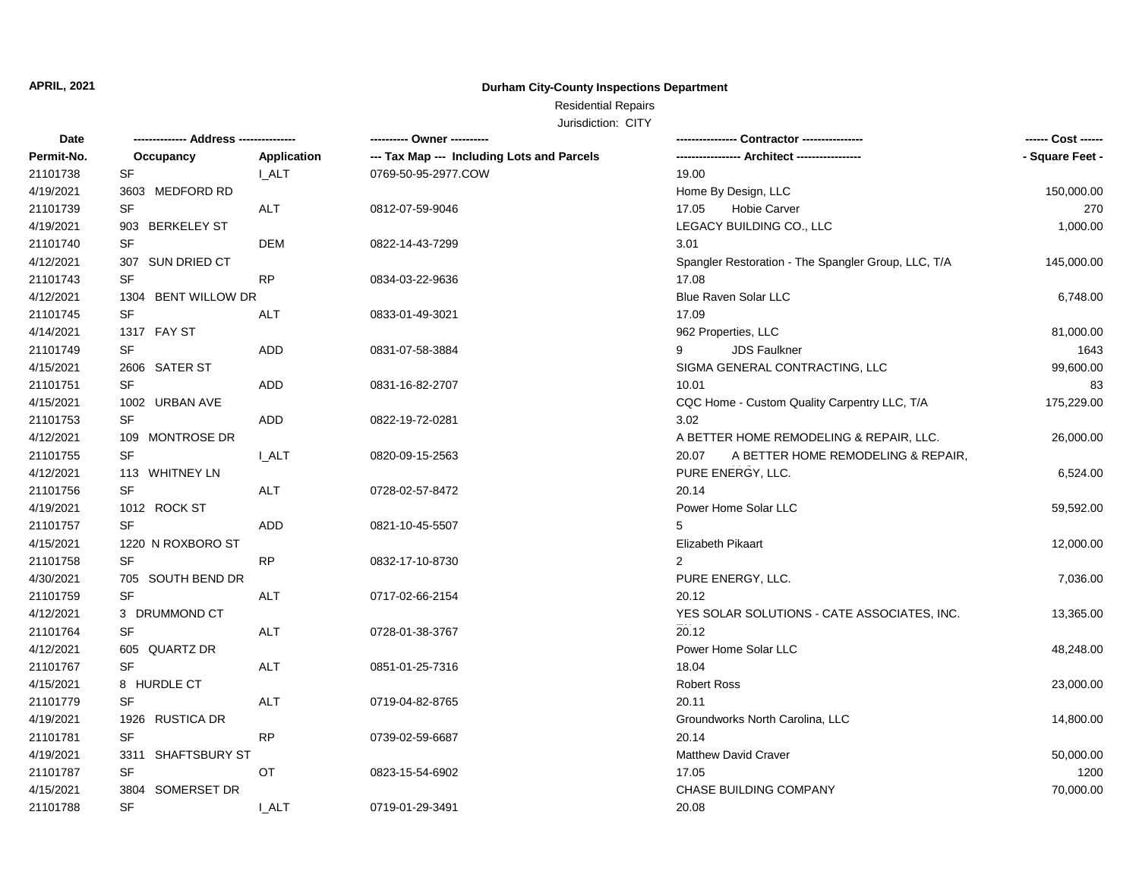# **Durham City-County Inspections Department**

Residential Repairs

| Date       | -------------- Address --------------- |                    | ---------- Owner ----------                |                                                     | ------ Cost ------ |
|------------|----------------------------------------|--------------------|--------------------------------------------|-----------------------------------------------------|--------------------|
| Permit-No. | Occupancy                              | <b>Application</b> | --- Tax Map --- Including Lots and Parcels | ---------------- Architect ----------------         | - Square Feet -    |
| 21101738   | <b>SF</b>                              | <b>I_ALT</b>       | 0769-50-95-2977.COW                        | 19.00                                               |                    |
| 4/19/2021  | 3603 MEDFORD RD                        |                    |                                            | Home By Design, LLC                                 | 150,000.00         |
| 21101739   | <b>SF</b>                              | <b>ALT</b>         | 0812-07-59-9046                            | <b>Hobie Carver</b><br>17.05                        | 270                |
| 4/19/2021  | 903 BERKELEY ST                        |                    |                                            | LEGACY BUILDING CO., LLC                            | 1,000.00           |
| 21101740   | SF                                     | <b>DEM</b>         | 0822-14-43-7299                            | 3.01                                                |                    |
| 4/12/2021  | 307 SUN DRIED CT                       |                    |                                            | Spangler Restoration - The Spangler Group, LLC, T/A | 145,000.00         |
| 21101743   | SF                                     | RP                 | 0834-03-22-9636                            | 17.08                                               |                    |
| 4/12/2021  | 1304 BENT WILLOW DR                    |                    |                                            | Blue Raven Solar LLC                                | 6,748.00           |
| 21101745   | SF                                     | ALT                | 0833-01-49-3021                            | 17.09                                               |                    |
| 4/14/2021  | 1317 FAY ST                            |                    |                                            | 962 Properties, LLC                                 | 81,000.00          |
| 21101749   | <b>SF</b>                              | <b>ADD</b>         | 0831-07-58-3884                            | 9<br><b>JDS Faulkner</b>                            | 1643               |
| 4/15/2021  | 2606 SATER ST                          |                    |                                            | SIGMA GENERAL CONTRACTING, LLC                      | 99,600.00          |
| 21101751   | SF                                     | <b>ADD</b>         | 0831-16-82-2707                            | 10.01                                               | 83                 |
| 4/15/2021  | 1002 URBAN AVE                         |                    |                                            | CQC Home - Custom Quality Carpentry LLC, T/A        | 175,229.00         |
| 21101753   | SF                                     | <b>ADD</b>         | 0822-19-72-0281                            | 3.02                                                |                    |
| 4/12/2021  | 109 MONTROSE DR                        |                    |                                            | A BETTER HOME REMODELING & REPAIR, LLC.             | 26,000.00          |
| 21101755   | SF                                     | <b>I_ALT</b>       | 0820-09-15-2563                            | A BETTER HOME REMODELING & REPAIR,<br>20.07         |                    |
| 4/12/2021  | 113 WHITNEY LN                         |                    |                                            | PURE ENERGY, LLC.                                   | 6,524.00           |
| 21101756   | SF                                     | ALT                | 0728-02-57-8472                            | 20.14                                               |                    |
| 4/19/2021  | 1012 ROCK ST                           |                    |                                            | Power Home Solar LLC                                | 59,592.00          |
| 21101757   | <b>SF</b>                              | <b>ADD</b>         | 0821-10-45-5507                            | 5                                                   |                    |
| 4/15/2021  | 1220 N ROXBORO ST                      |                    |                                            | Elizabeth Pikaart                                   | 12,000.00          |
| 21101758   | <b>SF</b>                              | RP                 | 0832-17-10-8730                            | $\overline{2}$                                      |                    |
| 4/30/2021  | 705 SOUTH BEND DR                      |                    |                                            | PURE ENERGY, LLC.                                   | 7,036.00           |
| 21101759   | SF                                     | <b>ALT</b>         | 0717-02-66-2154                            | 20.12                                               |                    |
| 4/12/2021  | 3 DRUMMOND CT                          |                    |                                            | YES SOLAR SOLUTIONS - CATE ASSOCIATES, INC.         | 13,365.00          |
| 21101764   | <b>SF</b>                              | <b>ALT</b>         | 0728-01-38-3767                            | 20.12                                               |                    |
| 4/12/2021  | 605 QUARTZ DR                          |                    |                                            | Power Home Solar LLC                                | 48,248.00          |
| 21101767   | <b>SF</b>                              | <b>ALT</b>         | 0851-01-25-7316                            | 18.04                                               |                    |
| 4/15/2021  | 8 HURDLE CT                            |                    |                                            | <b>Robert Ross</b>                                  | 23,000.00          |
| 21101779   | SF                                     | <b>ALT</b>         | 0719-04-82-8765                            | 20.11                                               |                    |
| 4/19/2021  | 1926 RUSTICA DR                        |                    |                                            | Groundworks North Carolina, LLC                     | 14,800.00          |
| 21101781   | <b>SF</b>                              | RP.                | 0739-02-59-6687                            | 20.14                                               |                    |
| 4/19/2021  | 3311 SHAFTSBURY ST                     |                    |                                            | <b>Matthew David Craver</b>                         | 50,000.00          |
| 21101787   | <b>SF</b>                              | OT                 | 0823-15-54-6902                            | 17.05                                               | 1200               |
| 4/15/2021  | 3804 SOMERSET DR                       |                    |                                            | CHASE BUILDING COMPANY                              | 70,000.00          |
| 21101788   | <b>SF</b>                              | I ALT              | 0719-01-29-3491                            | 20.08                                               |                    |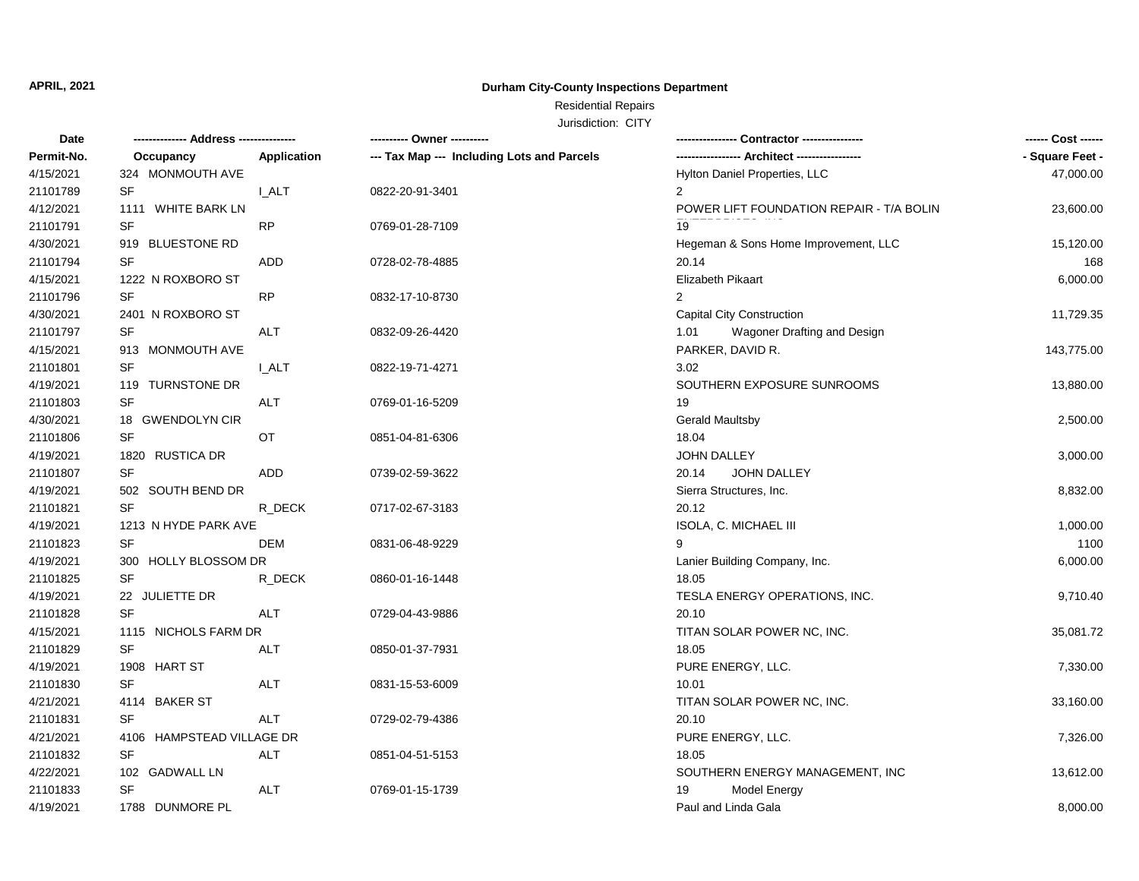# **Durham City-County Inspections Department**

# Residential Repairs

| Date       | -------------- Address --------------- |             | ---------- Owner ----------                |                                          |                 |
|------------|----------------------------------------|-------------|--------------------------------------------|------------------------------------------|-----------------|
| Permit-No. | Occupancy                              | Application | --- Tax Map --- Including Lots and Parcels |                                          | - Square Feet - |
| 4/15/2021  | 324 MONMOUTH AVE                       |             |                                            | Hylton Daniel Properties, LLC            | 47,000.00       |
| 21101789   | SF                                     | <b>LALT</b> | 0822-20-91-3401                            | $\overline{2}$                           |                 |
| 4/12/2021  | 1111 WHITE BARK LN                     |             |                                            | POWER LIFT FOUNDATION REPAIR - T/A BOLIN | 23,600.00       |
| 21101791   | <b>SF</b>                              | <b>RP</b>   | 0769-01-28-7109                            | 19                                       |                 |
| 4/30/2021  | 919 BLUESTONE RD                       |             |                                            | Hegeman & Sons Home Improvement, LLC     | 15,120.00       |
| 21101794   | SF                                     | ADD         | 0728-02-78-4885                            | 20.14                                    | 168             |
| 4/15/2021  | 1222 N ROXBORO ST                      |             |                                            | Elizabeth Pikaart                        | 6,000.00        |
| 21101796   | SF                                     | <b>RP</b>   | 0832-17-10-8730                            | $\overline{2}$                           |                 |
| 4/30/2021  | 2401 N ROXBORO ST                      |             |                                            | <b>Capital City Construction</b>         | 11,729.35       |
| 21101797   | SF                                     | <b>ALT</b>  | 0832-09-26-4420                            | Wagoner Drafting and Design<br>1.01      |                 |
| 4/15/2021  | 913 MONMOUTH AVE                       |             |                                            | PARKER, DAVID R.                         | 143,775.00      |
| 21101801   | SF                                     | <b>LALT</b> | 0822-19-71-4271                            | 3.02                                     |                 |
| 4/19/2021  | 119 TURNSTONE DR                       |             |                                            | SOUTHERN EXPOSURE SUNROOMS               | 13,880.00       |
| 21101803   | SF                                     | <b>ALT</b>  | 0769-01-16-5209                            | 19                                       |                 |
| 4/30/2021  | 18 GWENDOLYN CIR                       |             |                                            | <b>Gerald Maultsby</b>                   | 2,500.00        |
| 21101806   | SF                                     | OT          | 0851-04-81-6306                            | 18.04                                    |                 |
| 4/19/2021  | 1820 RUSTICA DR                        |             |                                            | <b>JOHN DALLEY</b>                       | 3,000.00        |
| 21101807   | SF                                     | ADD         | 0739-02-59-3622                            | 20.14<br><b>JOHN DALLEY</b>              |                 |
| 4/19/2021  | 502 SOUTH BEND DR                      |             |                                            | Sierra Structures, Inc.                  | 8,832.00        |
| 21101821   | <b>SF</b>                              | R DECK      | 0717-02-67-3183                            | 20.12                                    |                 |
| 4/19/2021  | 1213 N HYDE PARK AVE                   |             |                                            | ISOLA, C. MICHAEL III                    | 1,000.00        |
| 21101823   | SF                                     | DEM         | 0831-06-48-9229                            | 9                                        | 1100            |
| 4/19/2021  | 300 HOLLY BLOSSOM DR                   |             |                                            | Lanier Building Company, Inc.            | 6,000.00        |
| 21101825   | <b>SF</b>                              | R DECK      | 0860-01-16-1448                            | 18.05                                    |                 |
| 4/19/2021  | 22 JULIETTE DR                         |             |                                            | TESLA ENERGY OPERATIONS, INC.            | 9,710.40        |
| 21101828   | SF                                     | ALT         | 0729-04-43-9886                            | 20.10                                    |                 |
| 4/15/2021  | 1115 NICHOLS FARM DR                   |             |                                            | TITAN SOLAR POWER NC, INC.               | 35,081.72       |
| 21101829   | <b>SF</b>                              | <b>ALT</b>  | 0850-01-37-7931                            | 18.05                                    |                 |
| 4/19/2021  | 1908 HART ST                           |             |                                            | PURE ENERGY, LLC.                        | 7,330.00        |
| 21101830   | SF                                     | <b>ALT</b>  | 0831-15-53-6009                            | 10.01                                    |                 |
| 4/21/2021  | 4114 BAKER ST                          |             |                                            | TITAN SOLAR POWER NC, INC.               | 33,160.00       |
| 21101831   | <b>SF</b>                              | <b>ALT</b>  | 0729-02-79-4386                            | 20.10                                    |                 |
|            |                                        |             |                                            |                                          |                 |
| 4/21/2021  | 4106 HAMPSTEAD VILLAGE DR              |             |                                            | PURE ENERGY, LLC.                        | 7,326.00        |
| 21101832   | SF                                     | <b>ALT</b>  | 0851-04-51-5153                            | 18.05                                    |                 |
| 4/22/2021  | 102 GADWALL LN                         |             |                                            | SOUTHERN ENERGY MANAGEMENT, INC          | 13,612.00       |
| 21101833   | SF                                     | <b>ALT</b>  | 0769-01-15-1739                            | <b>Model Energy</b><br>19                |                 |
| 4/19/2021  | 1788 DUNMORE PL                        |             |                                            | Paul and Linda Gala                      | 8,000.00        |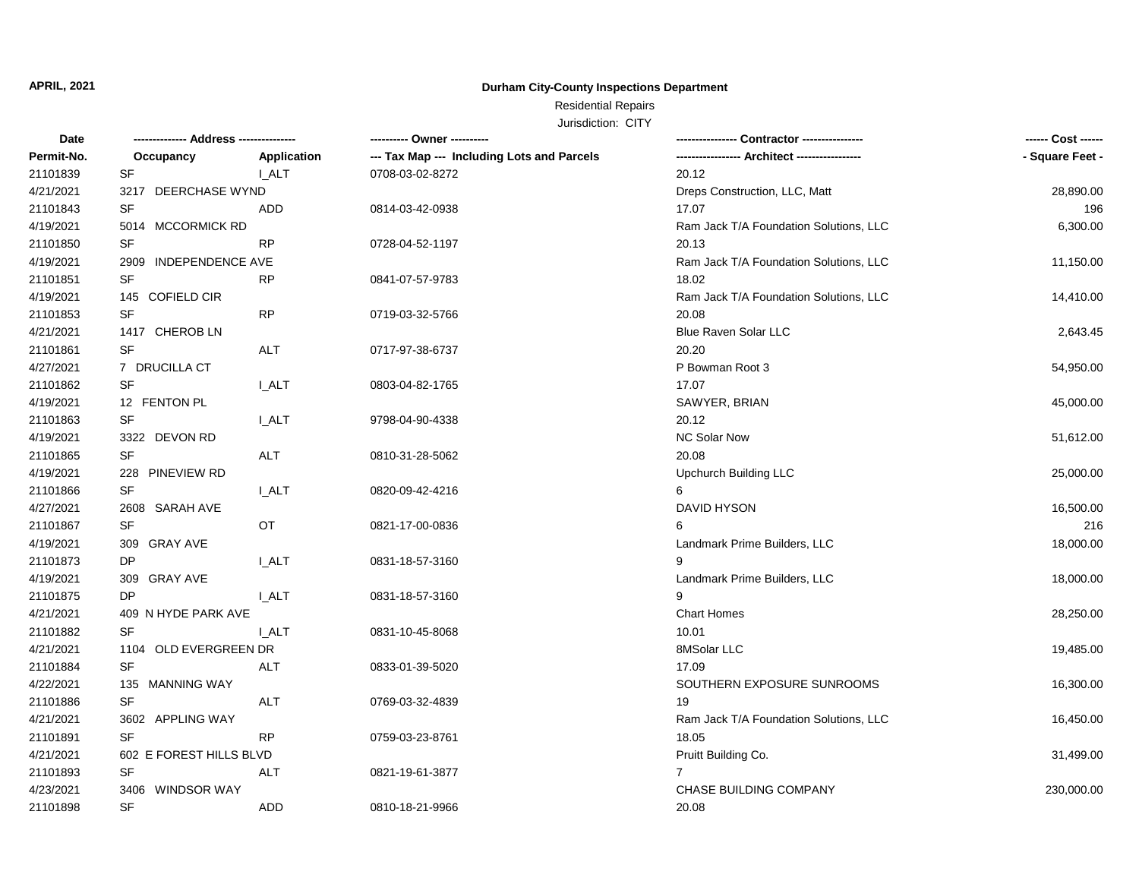# **Durham City-County Inspections Department**

# Residential Repairs

| Date       | -------------- Address --------------- |              | ---------- Owner ----------                |                                        |                 |
|------------|----------------------------------------|--------------|--------------------------------------------|----------------------------------------|-----------------|
| Permit-No. | Occupancy                              | Application  | --- Tax Map --- Including Lots and Parcels |                                        | - Square Feet - |
| 21101839   | <b>SF</b>                              | <b>I_ALT</b> | 0708-03-02-8272                            | 20.12                                  |                 |
| 4/21/2021  | 3217 DEERCHASE WYND                    |              |                                            | Dreps Construction, LLC, Matt          | 28,890.00       |
| 21101843   | SF                                     | <b>ADD</b>   | 0814-03-42-0938                            | 17.07                                  | 196             |
| 4/19/2021  | 5014 MCCORMICK RD                      |              |                                            | Ram Jack T/A Foundation Solutions, LLC | 6,300.00        |
| 21101850   | SF                                     | RP           | 0728-04-52-1197                            | 20.13                                  |                 |
| 4/19/2021  | 2909 INDEPENDENCE AVE                  |              |                                            | Ram Jack T/A Foundation Solutions, LLC | 11,150.00       |
| 21101851   | <b>SF</b>                              | <b>RP</b>    | 0841-07-57-9783                            | 18.02                                  |                 |
| 4/19/2021  | 145 COFIELD CIR                        |              |                                            | Ram Jack T/A Foundation Solutions, LLC | 14,410.00       |
| 21101853   | SF                                     | <b>RP</b>    | 0719-03-32-5766                            | 20.08                                  |                 |
| 4/21/2021  | 1417 CHEROB LN                         |              |                                            | Blue Raven Solar LLC                   | 2,643.45        |
| 21101861   | SF                                     | ALT          | 0717-97-38-6737                            | 20.20                                  |                 |
| 4/27/2021  | 7 DRUCILLA CT                          |              |                                            | P Bowman Root 3                        | 54,950.00       |
| 21101862   | <b>SF</b>                              | I ALT        | 0803-04-82-1765                            | 17.07                                  |                 |
| 4/19/2021  | 12 FENTON PL                           |              |                                            | SAWYER, BRIAN                          | 45,000.00       |
| 21101863   | SF                                     | <b>LALT</b>  | 9798-04-90-4338                            | 20.12                                  |                 |
| 4/19/2021  | 3322 DEVON RD                          |              |                                            | <b>NC Solar Now</b>                    | 51,612.00       |
| 21101865   | SF                                     | <b>ALT</b>   | 0810-31-28-5062                            | 20.08                                  |                 |
| 4/19/2021  | 228 PINEVIEW RD                        |              |                                            | Upchurch Building LLC                  | 25,000.00       |
| 21101866   | <b>SF</b>                              | <b>I_ALT</b> | 0820-09-42-4216                            | 6                                      |                 |
| 4/27/2021  | 2608 SARAH AVE                         |              |                                            | DAVID HYSON                            | 16,500.00       |
| 21101867   | <b>SF</b>                              | OT           | 0821-17-00-0836                            | 6                                      | 216             |
| 4/19/2021  | 309 GRAY AVE                           |              |                                            | Landmark Prime Builders, LLC           | 18,000.00       |
| 21101873   | DP                                     | <b>LALT</b>  | 0831-18-57-3160                            | 9                                      |                 |
| 4/19/2021  | 309 GRAY AVE                           |              |                                            | Landmark Prime Builders, LLC           | 18,000.00       |
| 21101875   | <b>DP</b>                              | <b>I_ALT</b> | 0831-18-57-3160                            | 9                                      |                 |
| 4/21/2021  | 409 N HYDE PARK AVE                    |              |                                            | <b>Chart Homes</b>                     | 28,250.00       |
| 21101882   | <b>SF</b>                              | <b>LALT</b>  | 0831-10-45-8068                            | 10.01                                  |                 |
| 4/21/2021  | 1104 OLD EVERGREEN DR                  |              |                                            | 8MSolar LLC                            | 19,485.00       |
| 21101884   | <b>SF</b>                              | ALT          | 0833-01-39-5020                            | 17.09                                  |                 |
| 4/22/2021  | 135 MANNING WAY                        |              |                                            | SOUTHERN EXPOSURE SUNROOMS             | 16,300.00       |
| 21101886   | SF                                     | ALT          | 0769-03-32-4839                            | 19                                     |                 |
| 4/21/2021  | 3602 APPLING WAY                       |              |                                            | Ram Jack T/A Foundation Solutions, LLC | 16,450.00       |
| 21101891   | <b>SF</b>                              | RP           | 0759-03-23-8761                            | 18.05                                  |                 |
| 4/21/2021  | 602 E FOREST HILLS BLVD                |              |                                            | Pruitt Building Co.                    | 31,499.00       |
| 21101893   | <b>SF</b>                              | ALT          | 0821-19-61-3877                            | $\overline{7}$                         |                 |
| 4/23/2021  | 3406 WINDSOR WAY                       |              |                                            | CHASE BUILDING COMPANY                 | 230,000.00      |
| 21101898   | <b>SF</b>                              | <b>ADD</b>   | 0810-18-21-9966                            | 20.08                                  |                 |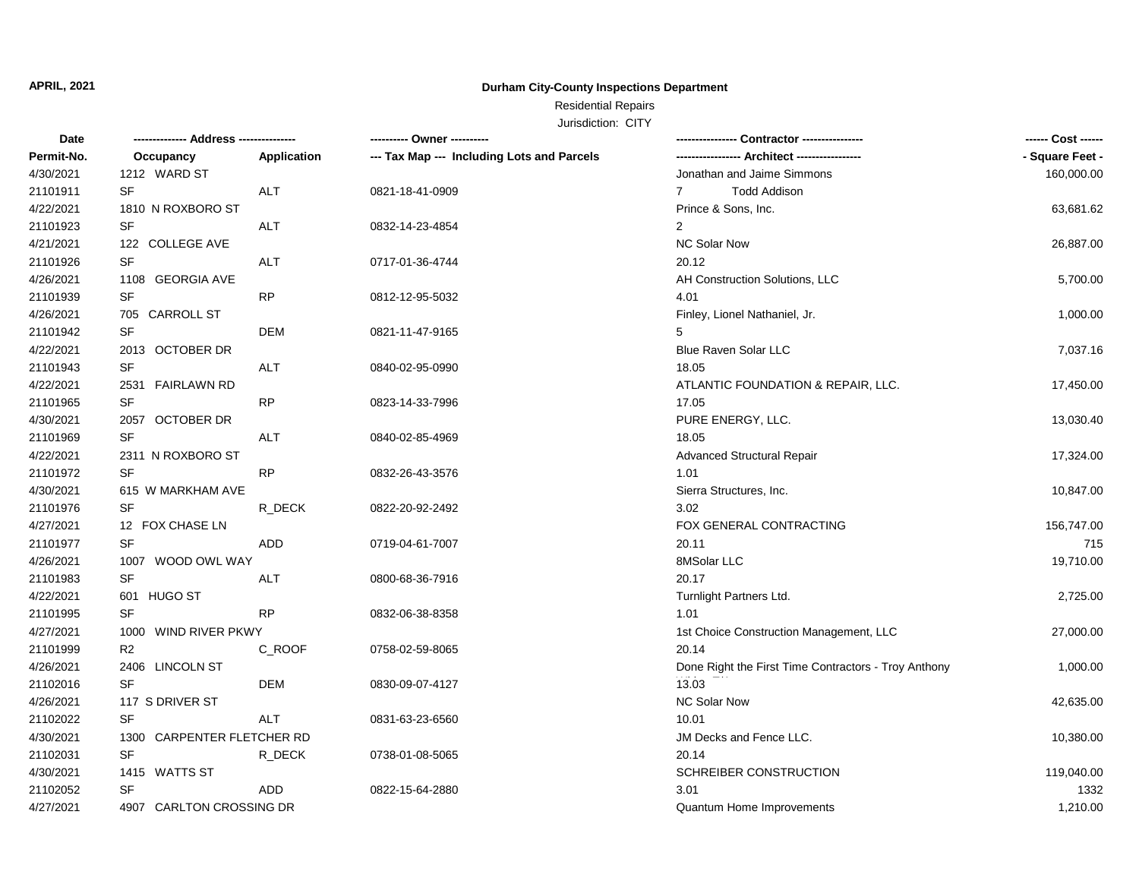# **Durham City-County Inspections Department**

# Residential Repairs

| Permit-No.<br><b>Application</b><br>--- Tax Map --- Including Lots and Parcels<br>Occupancy<br>4/30/2021<br>1212 WARD ST<br>Jonathan and Jaime Simmons<br>21101911<br>SF<br><b>ALT</b><br>0821-18-41-0909<br>$\overline{7}$<br><b>Todd Addison</b><br>4/22/2021<br>Prince & Sons, Inc.<br>1810 N ROXBORO ST<br>21101923<br>SF<br>$\overline{2}$<br>ALT<br>0832-14-23-4854<br>4/21/2021<br><b>NC Solar Now</b><br>122 COLLEGE AVE<br>20.12<br>21101926<br>SF<br><b>ALT</b><br>0717-01-36-4744 | - Square Feet -<br>160,000.00<br>63,681.62<br>26,887.00 |
|----------------------------------------------------------------------------------------------------------------------------------------------------------------------------------------------------------------------------------------------------------------------------------------------------------------------------------------------------------------------------------------------------------------------------------------------------------------------------------------------|---------------------------------------------------------|
|                                                                                                                                                                                                                                                                                                                                                                                                                                                                                              |                                                         |
|                                                                                                                                                                                                                                                                                                                                                                                                                                                                                              |                                                         |
|                                                                                                                                                                                                                                                                                                                                                                                                                                                                                              |                                                         |
|                                                                                                                                                                                                                                                                                                                                                                                                                                                                                              |                                                         |
|                                                                                                                                                                                                                                                                                                                                                                                                                                                                                              |                                                         |
|                                                                                                                                                                                                                                                                                                                                                                                                                                                                                              |                                                         |
|                                                                                                                                                                                                                                                                                                                                                                                                                                                                                              |                                                         |
| 4/26/2021<br>1108 GEORGIA AVE<br>AH Construction Solutions, LLC                                                                                                                                                                                                                                                                                                                                                                                                                              | 5,700.00                                                |
| 21101939<br>SF<br><b>RP</b><br>4.01<br>0812-12-95-5032                                                                                                                                                                                                                                                                                                                                                                                                                                       |                                                         |
| 4/26/2021<br>705 CARROLL ST<br>Finley, Lionel Nathaniel, Jr.                                                                                                                                                                                                                                                                                                                                                                                                                                 | 1,000.00                                                |
| SF<br>21101942<br><b>DEM</b><br>5<br>0821-11-47-9165                                                                                                                                                                                                                                                                                                                                                                                                                                         |                                                         |
| 4/22/2021<br>2013 OCTOBER DR<br><b>Blue Raven Solar LLC</b>                                                                                                                                                                                                                                                                                                                                                                                                                                  | 7,037.16                                                |
| 21101943<br>SF<br>ALT<br>18.05<br>0840-02-95-0990                                                                                                                                                                                                                                                                                                                                                                                                                                            |                                                         |
| 4/22/2021<br>2531 FAIRLAWN RD<br>ATLANTIC FOUNDATION & REPAIR, LLC.                                                                                                                                                                                                                                                                                                                                                                                                                          | 17,450.00                                               |
| RP<br>SF<br>21101965<br>17.05<br>0823-14-33-7996                                                                                                                                                                                                                                                                                                                                                                                                                                             |                                                         |
| 4/30/2021<br>PURE ENERGY, LLC.<br>2057 OCTOBER DR                                                                                                                                                                                                                                                                                                                                                                                                                                            | 13,030.40                                               |
| 21101969<br>SF<br>18.05<br>ALT<br>0840-02-85-4969                                                                                                                                                                                                                                                                                                                                                                                                                                            |                                                         |
| 4/22/2021<br>2311 N ROXBORO ST<br><b>Advanced Structural Repair</b>                                                                                                                                                                                                                                                                                                                                                                                                                          | 17,324.00                                               |
| 21101972<br>SF<br>RP<br>1.01<br>0832-26-43-3576                                                                                                                                                                                                                                                                                                                                                                                                                                              |                                                         |
| 4/30/2021<br>Sierra Structures, Inc.<br>615 W MARKHAM AVE                                                                                                                                                                                                                                                                                                                                                                                                                                    | 10,847.00                                               |
| 21101976<br><b>SF</b><br>3.02<br>R_DECK<br>0822-20-92-2492                                                                                                                                                                                                                                                                                                                                                                                                                                   |                                                         |
| 4/27/2021<br>12 FOX CHASE LN<br>FOX GENERAL CONTRACTING                                                                                                                                                                                                                                                                                                                                                                                                                                      | 156,747.00                                              |
| SF<br>21101977<br>ADD<br>20.11<br>0719-04-61-7007                                                                                                                                                                                                                                                                                                                                                                                                                                            | 715                                                     |
| 8MSolar LLC<br>4/26/2021<br>1007 WOOD OWL WAY                                                                                                                                                                                                                                                                                                                                                                                                                                                | 19,710.00                                               |
| SF<br>20.17<br>21101983<br>ALT<br>0800-68-36-7916                                                                                                                                                                                                                                                                                                                                                                                                                                            |                                                         |
| 4/22/2021<br>601 HUGO ST<br>Turnlight Partners Ltd.                                                                                                                                                                                                                                                                                                                                                                                                                                          | 2,725.00                                                |
| 21101995<br>SF<br>RP<br>1.01<br>0832-06-38-8358                                                                                                                                                                                                                                                                                                                                                                                                                                              |                                                         |
| 4/27/2021<br>1st Choice Construction Management, LLC<br>1000 WIND RIVER PKWY                                                                                                                                                                                                                                                                                                                                                                                                                 | 27,000.00                                               |
| 20.14<br>21101999<br>C ROOF<br>R <sub>2</sub><br>0758-02-59-8065                                                                                                                                                                                                                                                                                                                                                                                                                             |                                                         |
| 4/26/2021<br>2406 LINCOLN ST<br>Done Right the First Time Contractors - Troy Anthony                                                                                                                                                                                                                                                                                                                                                                                                         | 1,000.00                                                |
| 13.03<br>21102016<br>SF<br><b>DEM</b><br>0830-09-07-4127                                                                                                                                                                                                                                                                                                                                                                                                                                     |                                                         |
| 4/26/2021<br><b>NC Solar Now</b><br>117 S DRIVER ST                                                                                                                                                                                                                                                                                                                                                                                                                                          | 42,635.00                                               |
| 21102022<br><b>SF</b><br><b>ALT</b><br>10.01<br>0831-63-23-6560                                                                                                                                                                                                                                                                                                                                                                                                                              |                                                         |
| 4/30/2021<br>1300 CARPENTER FLETCHER RD<br>JM Decks and Fence LLC.                                                                                                                                                                                                                                                                                                                                                                                                                           | 10,380.00                                               |
| 21102031<br>SF<br>R_DECK<br>20.14<br>0738-01-08-5065                                                                                                                                                                                                                                                                                                                                                                                                                                         |                                                         |
| 4/30/2021<br>1415 WATTS ST<br>SCHREIBER CONSTRUCTION                                                                                                                                                                                                                                                                                                                                                                                                                                         | 119,040.00                                              |
| 21102052<br>SF<br><b>ADD</b><br>0822-15-64-2880<br>3.01                                                                                                                                                                                                                                                                                                                                                                                                                                      | 1332                                                    |
| 4/27/2021<br>4907 CARLTON CROSSING DR<br><b>Quantum Home Improvements</b>                                                                                                                                                                                                                                                                                                                                                                                                                    | 1,210.00                                                |